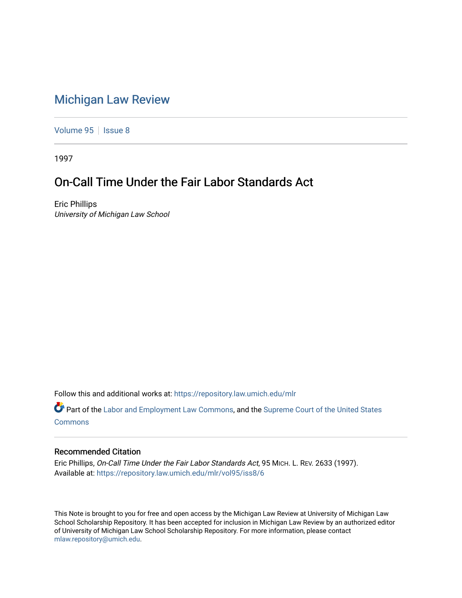# [Michigan Law Review](https://repository.law.umich.edu/mlr)

[Volume 95](https://repository.law.umich.edu/mlr/vol95) | [Issue 8](https://repository.law.umich.edu/mlr/vol95/iss8)

1997

# On-Call Time Under the Fair Labor Standards Act

Eric Phillips University of Michigan Law School

Follow this and additional works at: [https://repository.law.umich.edu/mlr](https://repository.law.umich.edu/mlr?utm_source=repository.law.umich.edu%2Fmlr%2Fvol95%2Fiss8%2F6&utm_medium=PDF&utm_campaign=PDFCoverPages) 

Part of the [Labor and Employment Law Commons](http://network.bepress.com/hgg/discipline/909?utm_source=repository.law.umich.edu%2Fmlr%2Fvol95%2Fiss8%2F6&utm_medium=PDF&utm_campaign=PDFCoverPages), and the [Supreme Court of the United States](http://network.bepress.com/hgg/discipline/1350?utm_source=repository.law.umich.edu%2Fmlr%2Fvol95%2Fiss8%2F6&utm_medium=PDF&utm_campaign=PDFCoverPages) [Commons](http://network.bepress.com/hgg/discipline/1350?utm_source=repository.law.umich.edu%2Fmlr%2Fvol95%2Fiss8%2F6&utm_medium=PDF&utm_campaign=PDFCoverPages)

# Recommended Citation

Eric Phillips, On-Call Time Under the Fair Labor Standards Act, 95 MICH. L. REV. 2633 (1997). Available at: [https://repository.law.umich.edu/mlr/vol95/iss8/6](https://repository.law.umich.edu/mlr/vol95/iss8/6?utm_source=repository.law.umich.edu%2Fmlr%2Fvol95%2Fiss8%2F6&utm_medium=PDF&utm_campaign=PDFCoverPages)

This Note is brought to you for free and open access by the Michigan Law Review at University of Michigan Law School Scholarship Repository. It has been accepted for inclusion in Michigan Law Review by an authorized editor of University of Michigan Law School Scholarship Repository. For more information, please contact [mlaw.repository@umich.edu.](mailto:mlaw.repository@umich.edu)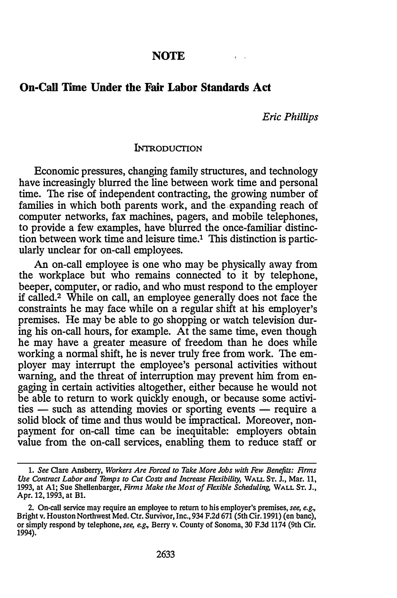# NOTE

# On-Call Time Under the Fair Labor Standards Act

Eric Phillips

 $\epsilon$ 

#### INTRODUCTION

Economic pressures, changing family structures, and technology have increasingly blurred the line between work time and personal time. The rise of independent contracting, the growing number of families in which both parents work, and the. expanding reach of computer networks, fax machines, pagers, and mobile telephones, to provide a few examples, have blurred the once-familiar distinction between work time and leisure time.1 This distinction is particularly unclear for on-call employees.

An on-call employee is one who may be physically away from the workplace but who remains connected to it by telephone, beeper, computer, or radio, and who must respond to the employer if called.2 While on call, an employee generally does not face the constraints he may face while on a regular shift at his employer's premises. He may be able to go shopping or watch television during his on-call hours, for example. At the same time, even though he may have a greater measure of freedom than he does while working a normal shift, he is never truly free from work. The employer may interrupt the employee's personal activities without warning, and the threat of interruption may prevent him from engaging in certain activities altogether, either because he would not be able to return to work quickly enough, or because some activities - such as attending movies or sporting events - require a solid block of time and thus would be impractical. Moreover, nonpayment for on-call time can be inequitable: employers obtain value from the on-call services, enabling them to reduce staff or

<sup>1.</sup> See Clare Ansberry, Workers Are Forced to Take More Jobs with Few Benefits: Firms Use Contract Labor and Temps to Cut Costs and Increase Flexibility, WALL ST. J., Mar. 11, 1993, at A1; Sue Shellenbarger, Firms Make the Most of Flexible Scheduling, WALL Sr. J., Apr. 12, 1993, at Bl.

<sup>2.</sup> On-call service may require an employee to return to his employer's premises, see, e.g., Bright v. Houston Northwest Med. Ctr. Survivor, Inc., 934 F.2d 671 (5th Cir. 1991) (en bane), or simply respond by telephone, see, e.g., Berry v. County of Sonoma, 30 F.3d 1174 (9th Cir. 1994).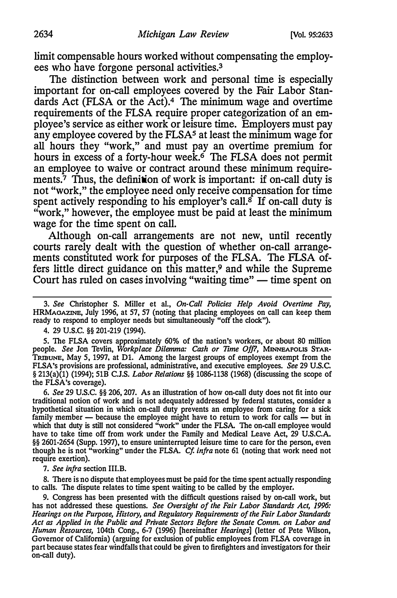limit compensable hours worked without compensating the employees who have forgone personal activities.3

The distinction between work and personal time is especially important for on-call employees covered by the Fair Labor Standards Act (FLSA or the Act).<sup>4</sup> The minimum wage and overtime requirements of the FLSA require proper categorization of an employee's service as either work or leisure time. Employers must pay any employee covered by the FLSA<sup>5</sup> at least the minimum wage for all hours they "work," and must pay an overtime premium for hours in excess of a forty-hour week.<sup>6</sup> The FLSA does not permit an employee to waive or contract around these minimum requirements. $\bar{7}$  Thus, the definition of work is important: if on-call duty is not "work," the employee need only receive compensation for time spent actively responding to his employer's call.<sup> $\hat{s}$ </sup> If on-call duty is "work," however, the employee must be paid at least the minimum wage for the time spent on call.

Although on-call arrangements are not new, until recently courts rarely dealt with the question of whether on-call arrangements constituted work for purposes of the FLSA. The FLSA offers little direct guidance on this matter,9 and while the Supreme Court has ruled on cases involving "waiting time" — time spent on

4. 29 u.s.c. §§ 201-219 {1994).

5. The FLSA covers approximately 60% of the nation's workers, or about 80 million people. See Jon Tevlin, Workplace Dilemma: Cash or Time Off7, MINNEAPOLIS STAR-TRIBUNE, May 5, 1997, at Dl. Among the largest groups of employees exempt from the FLSA's provisions are professional, administrative, and executive employees. See 29 U.S.C. § 213(a)(1) (1994); 51B C.J.S. Labor Relations §§ 1086-1138 (1968) (discussing the scope of the FLSA's coverage).

6. See 29 U.S.C. §§ 206, 207. As an illustration of how on-call duty does not fit into our traditional notion of work and is not adequately addressed by federal statutes, consider a hypothetical situation in which on-call duty prevents an employee from caring for a sick family member  $-$  because the employee might have to return to work for calls  $-$  but in which that duty is still not considered "work" under the FLSA. The on-call employee would have to take time off from work under the Family and Medical Leave Act, 29 U.S.C.A. §§ 2601-2654 (Supp. 1997), to ensure uninterrupted leisure time to care for the person, even though he is not "working" under the FLSA. Cf. infra note 61 (noting that work need not require exertion).

7. See infra section III.B.

8. There is no dispute that employees must be paid for the time spent actually responding to calls. The dispute relates to time spent waiting to be called by the employer.

9. Congress has been presented with the difficult questions raised by on-call work, but has not addressed these questions. See Oversight of the Fair Labor Standards Act, 1996: Hearings on the Purpose, History, and Regulatory Requirements of the Fair Labor Standards Act as Applied in the Public and Private Sectors Before the Senate Comm. on Labor and Human Resources, 104th Cong., 6-7 (1996) [hereinafter Hearings] (letter of Pete Wilson, Governor of California) (arguing for exclusion of public employees from FLSA coverage in part because states fear windfalls that could be given to firefighters and investigators for their on-call duty).

<sup>3.</sup> See Christopher S. Miller et al., On-Call Policies Help Avoid Overtime Pay, HRMAoAZINE, July 1996, at 57, 57 (noting that placing employees on call can keep them ready to respond to employer needs but simultaneously "off the clock").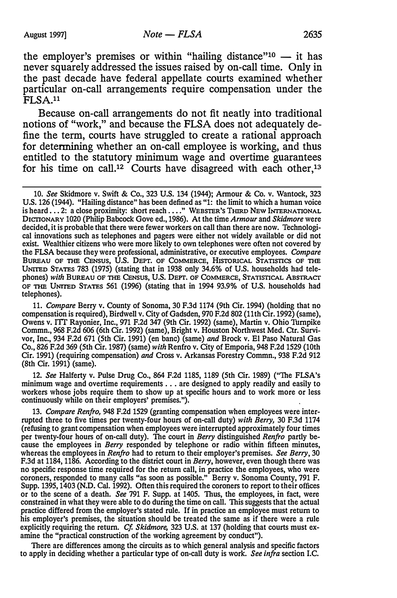the employer's premises or within "hailing distance"<sup>10</sup>  $-$  it has never squarely addressed the issues raised by on-call time. Only in the past decade have federal appellate courts examined whether particular on-call arrangements require compensation under the FLSA.11

Because on-call arrangements do not fit neatly into traditional notions of "work," and because the FLSA does not adequately define the term, courts have struggled to create a rational approach for determining whether an on-call employee is working, and thus entitled to the statutory minimum wage and overtime guarantees for his time on call.<sup>12</sup> Courts have disagreed with each other,<sup>13</sup>

11. Compare Berry v. County of Sonoma, 30 F.3d 1174 (9th Cir. 1994) (holding that no compensation is required), Birdwell v. City of Gadsden, 970 F.2d 802 (11th Cir. 1992) (same), Owens v. I'IT Rayonier, Inc., 971 F.2d 347 (9th Cir. 1992) (same), Martin v. Ohio Turnpike Commn., 968 F.2d 606 (6th Cir. 1992) (same), Bright v. Houston Northwest Med. Ctr. Survivor, Inc., 934 F.2d 671 (5th Cir. 1991) (en bane) (same) and Brock v. El Paso Natural Gas Co., 826 F.2d 369 (5th Cir. 1987) (same) with Renfro v. City of Emporia, 948 F.2d 1529 (10th Cir. 1991) (requiring compensation) and Cross v. Arkansas Forestry Commn., 938 F.2d 912 (8th Cir. 1991) (same).

12. See Halferty v. Pulse Drug Co., 864 F.2d 1185, 1189 (5th Cir. 1989) ("The FLSA's minimum wage and overtime requirements ... are designed to apply readily and easily to workers whose jobs require them to show up at specific hours and to work more or less continuously while on their employers' premises.").

13. Compare Renfro, 948 F.2d 1529 (granting compensation when employees were interrupted three to five times per twenty-four hours of on-call duty) with Berry, 30 F.3d 1174 (refusing to grant compensation when employees were interrupted approximately four times per twenty-four hours of on-call duty). The court in Berry distinguished Renfro partly because the employees in Berry responded by telephone or radio within fifteen minutes, whereas the employees in Renfro had to return to their employer's premises. See Berry, 30 F.3d at 1184, 1186. According to the district court in Berry, however, even though there was no specific response time required for the return call, in practice the employees, who were coroners, responded to many calls "as soon as possible." Berry v. Sonoma County, 791 F. Supp. 1395, 1403 (N.D. Cal. 1992). Often this required the coroners to report to their offices or to the scene of a death. See 791 F. Supp. at 1405. Thus, the employees, in fact, were constrained in what they were able to do during the time on call. This suggests that the actual practice differed from the employer's stated rule. If in practice an employee must return to his employer's premises, the situation should be treated the same as if there were a rule explicitly requiring the return. Cf. Skidmore, 323 U.S. at 137 (holding that courts must examine the "practical construction of the working agreement by conduct").

There are differences among the circuits as to which general analysis and specific factors to apply in deciding whether a particular type of on-call duty is work. See infra section I.C.

<sup>10.</sup> See Skidmore v. Swift & Co., 323 U.S. 134 (1944); Armour & Co. v. Wantock, 323 U.S. 126 (1944). "Hailing distance" has been defined as "1: the limit to which a human voice is heard . . . 2: a close proximity: short reach . . . . " WEBSTER'S THIRD NEW INTERNATIONAL DICTIONARY 1020 (Philip Babcock Gove ed., 1986). At the time Armour and Skidmore were decided, it is probable that there were fewer workers on call than there are now. Technological innovations such as telephones and pagers were either not widely available or did not exist. Wealthier citizens who were more likely to own telephones were often not covered by the FLSA because they were professional, administrative, or executive employees. Compare BUREAU OF THE CENSUS, U.S. DEPT. OF COMMERCE, HISTORICAL STATISTICS OF THE UNITED STATES 783 (1975) (stating that in 1938 only 34.6% of U.S. households had telephones) with BUREAU OF THE CENSUS, U.S. DEPT. OF COMMERCE, STATISTICAL ABSTRACT OF nm UNITED STATES 561 (1996) (stating that in 1994 93.9% of U.S. households had telephones).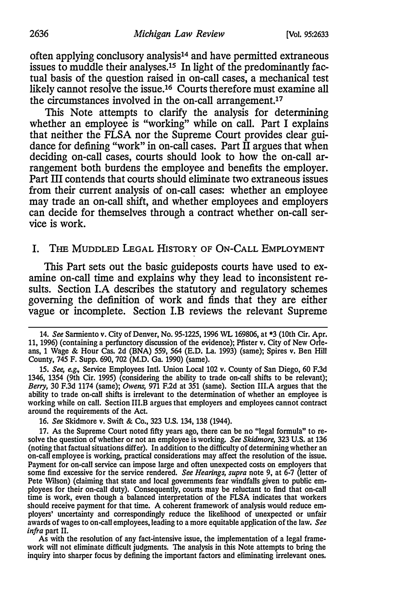often applying conclusory analysis14 and have permitted extraneous issues to muddle their analyses.<sup>15</sup> In light of the predominantly factual basis of the question raised in on-call cases, a mechanical test likely cannot resolve the issue.<sup>16</sup> Courts therefore must examine all the circumstances involved in the on-call arrangement.17

This Note attempts to clarify the analysis for determining whether an employee is "working" while on call. Part I explains that neither the FLSA nor the Supreme Court provides clear guidance for defining "work" in on-call cases. Part  $\hat{\Pi}$  argues that when deciding on-call cases, courts should look to how the on-call arrangement both burdens the employee and benefits the employer. Part III contends that courts should eliminate two extraneous issues from their current analysis of on-call cases: whether an employee may trade an on-call shift, and whether employees and employers can decide for themselves through a contract whether on-call service is work.

#### I. THE MUDDLED LEGAL HISTORY OF ON-CALL EMPLOYMENT

This Part sets out the basic guideposts courts have used to examine on-call time and explains why they lead to inconsistent results. Section I.A describes the statutory and regulatory schemes governing the definition of work and finds that they are either vague or incomplete. Section l.B reviews the relevant Supreme

15. See, e.g., Service Employees Intl. Union Local 102 v. County of San Diego, 60 F.3d 1346, 1354 (9th Cir. 1995) (considering the ability to trade on-call shifts to be relevant); Berry, 30 F.3d 1174 (same); Owens, 971 F.2d at 351 (same). Section III.A argues that the ability to trade on-call shifts is irrelevant to the determination of whether an employee is working while on call. Section III.B argues that employers and employees cannot contract around the requirements of the Act.

16. See Skidmore v. Swift & Co., 323 U.S. 134, 138 (1944).

As with the resolution of any fact-intensive issue, the implementation of a legal framework will not eliminate difficult judgments. The analysis in this Note attempts to bring the inquiry into sharper focus by defining the important factors and eliminating irrelevant ones.

<sup>14.</sup> See Sanniento v. City of Denver, No. 95-1225, 1996 WL 169806, at \*3 (10th Cir. Apr. 11, 1996) (containing a perfunctory discussion of the evidence); Pfister v. City of New Orleans, 1 Wage & Hour Cas. 2d (BNA) 559, 564 (E.D. La. 1993) (same); Spires v. Ben Hill County, 745 F. Supp. 690, 702 (M.D. Ga. 1990) (same).

<sup>17.</sup> As the Supreme Court noted fifty years ago, there can be no "legal formula" to resolve the question of whether or not an employee is working. See Skidmore, 323 U.S. at 136 (noting that factual situations differ). In addition to the difficulty of determining whether an on-call employee is working, practical considerations may affect the resolution of the issue. Payment for on-call service can impose large and often unexpected costs on employers that some find excessive for the service rendered. See Hearings, supra note 9, at 6-7 (letter of Pete Wilson) (claiming that state and local governments fear windfalls given to public employees for their on-call duty). Consequently, courts may be reluctant to find that on-call time is work, even though a balanced interpretation of the FLSA indicates that workers should receive payment for that time. A coherent framework of analysis would reduce employers' uncertainty and correspondingly reduce the likelihood of unexpected or unfair awards of wages to on-call employees, leading to a more equitable application of the law. See infra part II.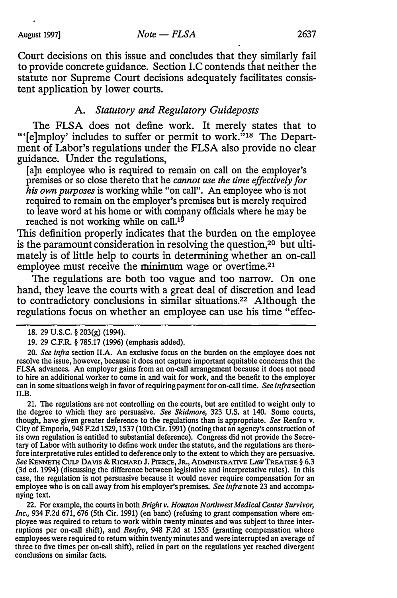Court decisions on this issue and concludes that they similarly fail to provide concrete guidance. Section I.C contends that neither the statute nor Supreme Court decisions adequately facilitates consistent application by lower courts.

## A. Statutory and Regulatory Guideposts

The FLSA does not define work. It merely states that to "'[e]mploy' includes to suffer or permit to work."<sup>18</sup> The Department of Labor's regulations under the FLSA also provide no clear guidance. Under the regulations,

[a]n employee who is required to remain on call on the employer's premises or so close thereto that he cannot use the time effectively for his own purposes is working while "on call". An employee who is not required to remain on the employer's premises but is merely required to leave word at his home or with company officials where he may be reached is not working while on call.<sup>19</sup>

This definition properly indicates that the burden on the employee is the paramount consideration in resolving the question,20 but ultimately is of little help to courts in determining whether an on-call employee must receive the minimum wage or overtime.<sup>21</sup>

The regulations are both too vague and too narrow. On one hand, they leave the courts with a great deal of discretion and lead to contradictory conclusions in similar situations.22 Although the regulations focus on whether an employee can use his time "effec-

21. The regulations are not controlling on the courts, but are entitled to weight only to the degree to which they are persuasive. See Skidmore, 323 U.S. at 140. Some courts, though, have given greater deference to the regulations than is appropriate. See Renfro v. City of Emporia, 948 F.2d 1529, 1537 (10th Cir. 1991) (noting that an agency's construction of its own regulation is entitled to substantial deference). Congress did not provide the Secretary of Labor with authority to define work under the statute, and the regulations are therefore interpretative rules entitled to deference only to the extent to which they are persuasive. See KENNETII CuLP DA VIS & RICHARD J. PIERCE, JR., ADMINIS1RATIVE LAW TREATISE § 6.3 (3d ed. 1994) (discussing the difference between legislative and interpretative rules). In this case, the regulation is not persuasive because it would never require compensation for an employee who is on call away from his employer's premises. See infra note 23 and accompanying text.

22. For example, the courts in both Bright v. Houston Northwest Medical Center Survivor, Inc., 934 F.2d 671, 676 (5th Cir. 1991) (en bane) (refusing to grant compensation where employee was required to return to work within twenty minutes and was subject to three interruptions per on-call shift), and Renfro, 948 F.2d at 1535 (granting compensation where employees were required to return within twenty minutes and were interrupted an average of three to five times per on-call shift), relied in part on the regulations yet reached divergent conclusions on similar facts.

<sup>18. 29</sup> u.s.c. § 203(g) (1994).

<sup>19. 29</sup> C.F.R. § 785.17 (1996) (emphasis added).

<sup>20.</sup> See infra section II.A. An exclusive focus on the burden on the employee does not resolve the issue, however, because it does not capture important equitable concerns that the FLSA advances. An employer gains from an on-call arrangement because it does not need to hire an additional worker to come in and wait for work, and the benefit to the employer can in some situations weigh in favor of requiring payment for on-call time. See infra section 11.B.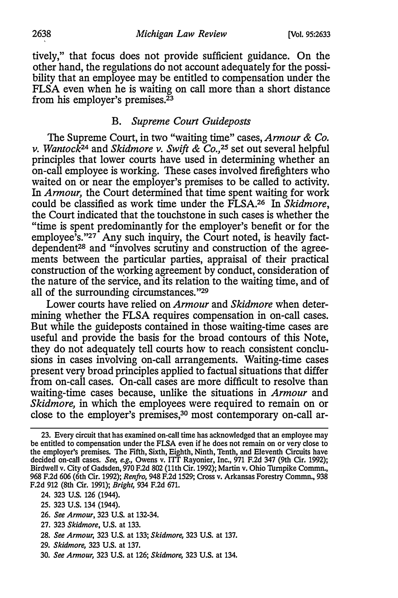tively," that focus does not provide sufficient guidance. On the other hand, the regulations do not account adequately for the possibility that an employee may be entitled to compensation under the FLSA even when he is waiting on call more than a short distance from his employer's premises. $\frac{23}{3}$ 

# B. Supreme Court Guideposts

The Supreme Court, in two "waiting time" cases, Armour & Co. v. Wantock<sup>24</sup> and Skidmore v. Swift & Co.,<sup>25</sup> set out several helpful principles that lower courts have used in determining whether an on-call employee is working. These cases involved firefighters who waited on or near the employer's premises to be called to activity. In Armour, the Court determined that time spent waiting for work could be classified as work time under the FLSA.<sup>26</sup> In Skidmore, the Court indicated that the touchstone in such cases is whether the "time is spent predominantly for the employer's benefit or for the employee's."27 Any such inquiry, the Court noted, is heavily factdependent28 and "involves scrutiny and construction of the agreements between the particular parties, appraisal of their practical construction of the working agreement by conduct, consideration of the nature of the service, and its relation to the waiting time, and of all of the surrounding circumstances. "29

Lower courts have relied on Armour and Skidmore when determining whether the FLSA requires compensation in on-call cases. But while the guideposts contained in those waiting-time cases are useful and provide the basis for the broad contours of this Note, they do not adequately tell courts how to reach consistent conclusions in cases involving on-call arrangements. Waiting-time cases present very broad principles applied to factual situations that differ from on-call cases. On-call cases are more difficult to resolve than waiting-time cases because, unlike the situations in Armour and Skidmore, in which the employees were required to remain on or close to the employer's premises,<sup>30</sup> most contemporary on-call ar-

- 26. See Armour, 323 U.S. at 132-34.
- 27. 323 Skidmore, U.S. at 133.
- 28. See Armour, 323 U.S. at 133; Skidmore, 323 U.S. at 137.
- 29. Skidmore, 323 U.S. at 137.
- 30. See Armour, 323 U.S. at 126; Skidmore, 323 U.S. at 134.

<sup>23.</sup> Every circuit that has examined on-call time has acknowledged that an employee may be entitled to compensation under the FLSA even if he does not remain on or very close to the employer's premises. The Fifth, Sixth, Eighth, Ninth, Tenth, and Eleventh Circuits have decided on-call cases. See, e.g., Owens v. ITT Rayonier, Inc., 971 F.2d 347 (9th Cir. 1992); Birdwell v. City of Gadsden, 970 F.2d 802 (11th Cir. 1992); Martin v. Ohio Turnpike Commn., 968 F.2d 606 (6th Cir. 1992); Renfro, 948 F.2d 1529; Cross v. Arkansas Forestry Commn., 938 F.2d 912 (8th Cir. 1991); Bright, 934 F.2d 671.

<sup>24. 323</sup> U.S. 126 (1944).

<sup>25. 323</sup> U.S. 134 (1944).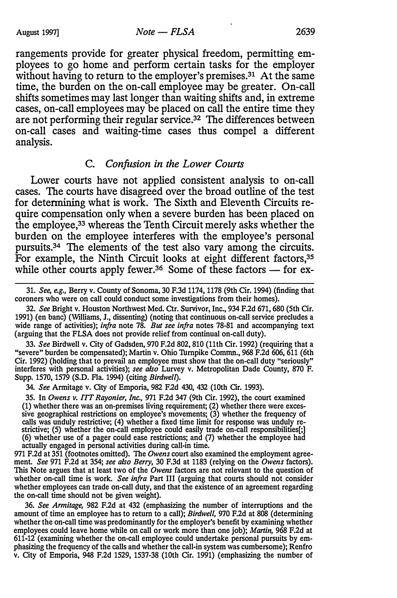rangements provide for greater physical freedom, permitting employees to go home and perform certain tasks for the employer without having to return to the employer's premises.<sup>31</sup> At the same time, the burden on the on-call employee may be greater. On-call shifts sometimes may last longer than waiting shifts and, in extreme cases, on-call employees may be placed on call the entire time they are not performing their regular service.<sup>32</sup> The differences between on-call cases and waiting-time cases thus compel a different analysis.

#### C. Confusion in the Lower Courts

Lower courts have not applied consistent analysis to on-call cases. The courts have disagreed over the broad outline of the test for determining what is work. The Sixth and Eleventh Circuits require compensation only when a severe burden has been placed on the employee,33 whereas the Tenth Circuit merely asks whether the burden on the employee interferes with the employee's personal pursuits.34 The elements of the test also vary among the circuits. For example, the Ninth Circuit looks at eight different factors,<sup>35</sup> while other courts apply fewer.<sup>36</sup> Some of these factors  $-$  for ex-

33. See Birdwell v. City of Gadsden, 970 F.2d 802, 810 (11th Cir. 1992) (requiring that a "severe" burden be compensated); Martin v. Ohio Turnpike Comrnn., 968 F.2d 606, 611 (6th Cir. 1992) (holding that to prevail an employee must show that the on-call duty "seriously" interferes with personal activities); see also Lurvey v. Metropolitan Dade County, 870 F. Supp. 1570, 1579 (S.D. Fla. 1994) (citing Birdwell).

34. See Armitage v. City of Emporia, 982 F.2d 430, 432 (10th Cir. 1993).

35. In Owens v. ITT Rayonier, Inc., 971 F.2d 347 (9th Cir. 1992), the court examined (1) whether there was an on-premises living requirement; (2) whether there were excessive geographical restrictions on employee's movements; (3) whether the frequency of calls was unduly restrictive; (4) whether a fixed time limit for response was unduly restrictive; (5) whether the on-call employee could easily trade on-call responsibilities[;] (6) whether use of a pager could ease restrictions; and (7) whether the employee had actually engaged in personal activities during call-in time.

971 F.2d at 351 (footnotes omitted). The Owens court also examined the employment agreement. See 971 F.2d at 354; see also Berry, 30 F.3d at 1183 (relying on the Owens factors). This Note argues that at least two of the Owens factors are not relevant to the question of whether on-call time is work. See infra Part III (arguing that courts should not consider whether employees can trade on-call duty, and that the existence of an agreement regarding the on-call time should not be given weight).

36. See Armitage, 982 F.2d at 432 (emphasizing the number of interruptions and the amount of time an employee has to return to a call); Birdwell, 970 F.2d at 808 (determining whether the on-call time was predominantly for the employer's benefit by examining whether employees could leave home while on call or work more than one job); Martin, 968 F.2d at 611-12 (examining whether the on-call employee could undertake personal pursuits by emphasizing the frequency of the calls and whether the call-in system was cumbersome); Renfro v. City of Emporia, 948 F.2d 1529, 1537-38 (10th Cir. 1991) (emphasizing the number of

<sup>31.</sup> See, e.g., Berry v. County of Sonoma, 30 F.3d 1174, 1178 (9th Cir. 1994) (finding that coroners who were on call could conduct some investigations from their homes).

<sup>32.</sup> See Bright v. Houston Northwest Med. Ctr. Survivor, Inc., 934 F.2d 671, 680 (5th Cir. 1991) (en bane) (Williams, J., dissenting) (noting that continuous on-call service precludes a wide range of activities); infra note  $78$ . But see infra notes  $78-81$  and accompanying text (arguing that the FLSA does not provide relief from continual on-call duty).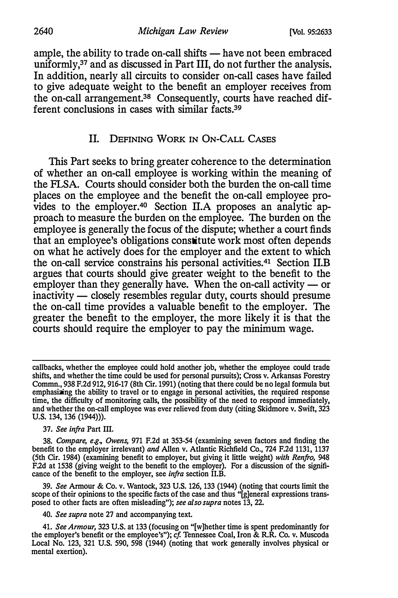ample, the ability to trade on-call shifts - have not been embraced uniformly,<sup>37</sup> and as discussed in Part III, do not further the analysis. In addition, nearly all circuits to consider on-call cases have failed to give adequate weight to the benefit an employer receives from the on-call arrangement.38 Consequently, courts have reached different conclusions in cases with similar facts.39

#### II. DEFINING WoRK IN ON-CALL CASES

This Part seeks to bring greater coherence to the determination of whether an on-call employee is working within the meaning of the FLSA. Courts should consider both the burden the on-call time places on the employee and the benefit the on-call employee provides to the employer.<sup>40</sup> Section II.A proposes an analytic approach to measure the burden on the employee. The burden on the employee is generally the focus of the dispute; whether a court finds that an employee's obligations constitute work most often depends on what he actively does for the employer and the extent to which the on-call service constrains his personal activities.41 Section II.B argues that courts should give greater weight to the benefit to the employer than they generally have. When the on-call activity  $-$  or inactivity — closely resembles regular duty, courts should presume the on-call time provides a valuable benefit to the employer. The greater the benefit to the employer, the more likely it is that the courts should require the employer to pay the minimum wage.

37. See infra Part III.

39. See Armour & Co. v. Wantock, 323 U.S. 126, 133 (1944) (noting that courts limit the scope of their opinions to the specific facts of the case and thus "[g]eneral expressions transposed to other facts are often misleading"); see also supra notes 13, 22.

40. See supra note 27 and accompanying text.

callbacks, whether the employee could hold another job, whether the employee could trade shifts, and whether the time could be used for personal pursuits); Cross v. Arkansas Forestry Commn., 938 F.2d 912, 916-17 (8th Cir. 1991) (noting that there could be no legal formula but emphasizing the ability to travel or to engage in personal activities, the required response time, the difficulty of monitoring calls, the possibility of the need to respond immediately, and whether the on-call employee was ever relieved from duty (citing Skidmore v. Swift, 323 U.S. 134, 136 (1944))).

<sup>38.</sup> Compare, e.g., Owens, 971 F.2d at 353-54 (examining seven factors and finding the benefit to the employer irrelevant) and Allen v. Atlantic Richfield Co., 724 F.2d 1131, 1137 (5th Cir. 1984) (examining benefit to employer, but giving it little weight) with Renfro, 948 F.2d at 1538 (giving weight to the benefit to the employer). For a discussion of the significance of the benefit to the employer, see *infra* section II.B.

<sup>41.</sup> See Armour, 323 U.S. at 133 (focusing on "[w]hether time is spent predominantly for the employer's benefit or the employee's"); cf. Tennessee Coal, Iron & R.R. Co. v. Muscoda Local No. 123, 321 U.S. 590, 598 (1944) (noting that work generally involves physical or mental exertion).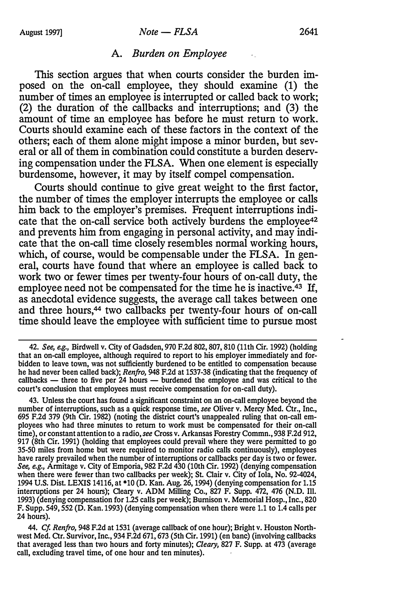This section argues that when courts consider the burden imposed on the on-call employee, they should examine (1) the number of times an employee is interrupted or called back to work; (2) the duration of the callbacks and interruptions; and (3) the amount of time an employee has before he must return to work. Courts should examine each of these factors in the context of the others; each of them alone might impose a minor burden, but several or all of them in combination could constitute a burden deserving compensation under the FLSA. When one element is especially burdensome, however, it may by itself compel compensation.

Courts should continue to give great weight to the first factor, the number of times the employer interrupts the employee or calls him back to the employer's premises. Frequent interruptions indicate that the on-call service both actively burdens the employee<sup>42</sup> and prevents him from engaging in personal activity, and may indicate that the on-call time closely resembles normal working hours, which, of course, would be compensable under the FLSA. In general, courts have found that where an employee is called back to work two or fewer times per twenty-four hours of on-call duty, the employee need not be compensated for the time he is inactive.<sup>43</sup> If, as anecdotal evidence suggests, the average call takes between one and three hours,44 two callbacks per twenty-four hours of on-call time should leave the employee with sufficient time to pursue most

44. Cf. Renfro, 948 F.2d at 1531 (average callback of one hour); Bright v. Houston Northwest Med. Ctr. Survivor, Inc., 934 F.2d 671, 673 (5th Cir. 1991) (en bane) (involving callbacks that averaged less than two hours and forty minutes); Cleary, 827 F. Supp. at 473 (average call, excluding travel time, of one hour and ten minutes).

<sup>42.</sup> See, e.g., Birdwell v. City of Gadsden, 970 F.2d 802, 807, 810 {11th Cir. 1992) (holding that an on-call employee, although required to report to his employer immediately and forbidden to leave town, was not sufficiently burdened to be entitled to compensation because he had never been called back); Renfro, 948 F.2d at 1537-38 (indicating that the frequency of callbacks — three to five per 24 hours — burdened the employee and was critical to the court's conclusion that employees must receive compensation for on-call duty).

<sup>43.</sup> Unless the court has found a significant constraint on an on-call employee beyond the number of interruptions, such as a quick response time, see Oliver v. Mercy Med. Ctr., Inc., 695 F.2d 379 {9th Cir. 1982) (noting the district court's unappealed ruling that on-call employees who had three minutes to return to work must be compensated for their on-call time), or constant attention to a radio, see Cross v. Arkansas Forestry Commn., 938 F.2d 912, 917 (8th Cir. 1991) (holding that employees could prevail where they were permitted to go 35-50 miles from home but were required to monitor radio calls continuously), employees have rarely prevailed when the number of interruptions or callbacks per day is two or fewer. See, e.g., Armitage v. City of Emporia, 982 F.2d 430 (10th Cir. 1992) (denying compensation when there were fewer than two callbacks per week); St. Clair v. City of Iola, No. 92-4024, 1994 U.S. Dist. LEXIS 14116, at \*10 (D. Kan. Aug. 26, 1994) (denying compensation for 1.15 interruptions per 24 hours); Cleary v. ADM Milling Co., 827 F. Supp. 472, 476 (N.D. Ill. 1993) {denying compensation for 1.25 calls per week); Burnison v. Memorial Hosp., Inc., 820 F. Supp. 549, 552 (D. Kan. 1993) (denying compensation when there were 1.1 to 1.4 calls per 24 hours).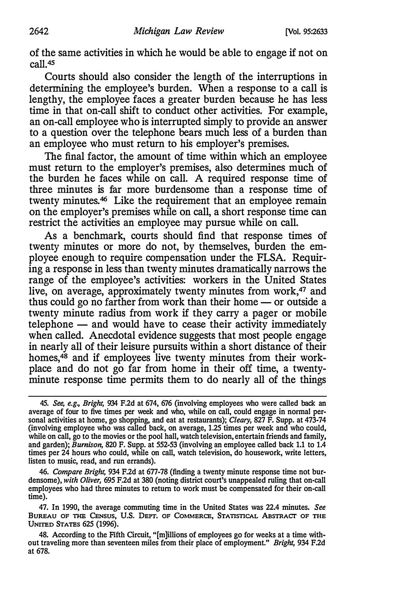of the same activities in which he would be able to engage if not on call.45

Courts should also consider the length of the interruptions in determining the employee's burden. When a response to a call is lengthy, the employee faces a greater burden because he has less time in that on-call shift to conduct other activities. For example, an on-call employee who is interrupted simply to provide an answer to a question over the telephone bears much less of a burden than an employee who must return to his employer's premises.

The final factor, the amount of time within which an employee must return to the employer's premises, also determines much of the burden he faces while on call. A required response time of three minutes is far more burdensome than a response time of twenty minutes.<sup>46</sup> Like the requirement that an employee remain on the employer's premises while on call, a short response time can restrict the activities an employee may pursue while on call.

As a benchmark, courts should find that response times of twenty minutes or more do not, by themselves, burden the employee enough to require compensation under the FLSA. Requiring a response in less than twenty minutes dramatically narrows the range of the employee's activities: workers in the United States live, on average, approximately twenty minutes from work,<sup>47</sup> and thus could go no farther from work than their home  $-$  or outside a twenty minute radius from work if they carry a pager or mobile  $t$ elephone  $-$  and would have to cease their activity immediately when called. Anecdotal evidence suggests that most people engage in nearly all of their leisure pursuits within a short distance of their homes,<sup>48</sup> and if employees live twenty minutes from their workplace and do not go far from home in their off time, a twentyminute response time permits them to do nearly all of the things

46. Compare Bright, 934 F.2d at 677-78 (finding a twenty minute response time not burdensome), with Oliver, 695 F.2d at 380 (noting district court's unappealed ruling that on-call employees who had three minutes to return to work must be compensated for their on-call time).

47. In 1990, the average commuting time in the United States was 22.4 minutes. See BUREAU OF THE CENSUS, U.S. DEPT. OF COMMERCE, STATISTICAL ABSTRACT OF TIIE UNITED STATES 625 (1996).

48. According to the Fifth Circuit, "[m]illions of employees go for weeks at a time without traveling more than seventeen miles from their place of employment." Bright, 934 F.2d at 678.

<sup>45.</sup> See, e.g., Bright, 934 F.2d at 674, 676 (involving employees who were called back an average of four to five times per week and who, while on call, could engage in normal personal activities at home, go shopping, and eat at restaurants); Cleary, 827 F. Supp. at 473-74 (involving employee who was called back, on average, 1.25 times per week and who could, while on call, go to the movies or the pool hall, watch television, entertain friends and family, and garden); Burnison, 820 F. Supp. at 552-53 (involving an employee called back 1.1 to 1.4 times per 24 hours who could, while on call, watch television, do housework, write letters, listen to music, read, and run errands).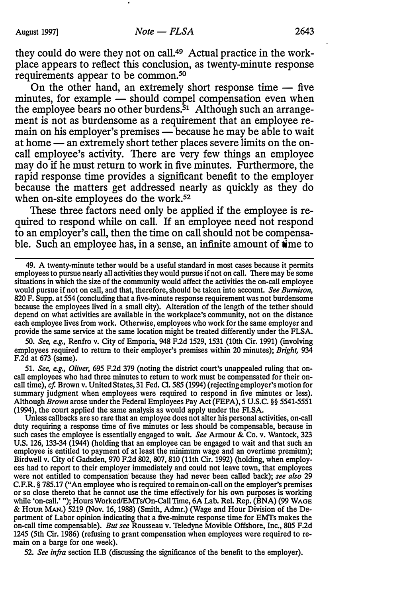they could do were they not on call.49 Actual practice in the workplace appears to reflect this conclusion, as twenty-minute response requirements appear to be common.<sup>50</sup>

On the other hand, an extremely short response time  $-$  five minutes, for example — should compel compensation even when the employee bears no other burdens.<sup>51</sup> Although such an arrangement is not as burdensome as a requirement that an employee remain on his employer's premises — because he may be able to wait at home — an extremely short tether places severe limits on the oncall employee's activity. There are very few things an employee may do if he must return to work in five minutes. Furthermore, the rapid response time provides a significant benefit to the employer because the matters get addressed nearly as quickly as they do when on-site employees do the work.<sup>52</sup>

These three factors need only be applied if the employee is required to respond while on call. If an employee need not respond to an employer's call, then the time on call should not be compensable. Such an employee has, in a sense, an infinite amount of time to

49. A twenty-minute tether would be a useful standard in most cases because it permits employees to pursue nearly all activities they would pursue if not on call. There may be some situations in which the size of the community would affect the activities the on-call employee would pursue if not on call, and that, therefore, should be taken into account. See Burnison, 820 F. Supp. at 554 (concluding that a five-minute response requirement was not burdensome because the employees lived in a small city). Alteration of the length of the tether should depend on what activities are available in the workplace's community, not on the distance each employee lives from work. Otherwise, employees who work for the same employer and provide the same service at the same location might be treated differently under the FLSA.

50. See, e.g., Renfro v. City of Emporia, 948 F.2d 1529, 1531 (10th Cir. 1991) (involving employees required to return to their employer's premises within 20 minutes); Bright, 934 F.2d at 673 (same).

51. See, e.g., Oliver, 695 F.2d 379 (noting the district court's unappealed ruling that oncall employees who had three minutes to return to work must be compensated for their oncall time), cf. Brown v. United States, 31 Fed. Cl. 585 (1994) (rejecting employer's motion for summary judgment when employees were required to respond in five minutes or less). Although Brown arose under the Federal Employees Pay Act (FEPA), 5 U.S.C. §§ 5541-5551 (1994), the court applied the same analysis as would apply under the FLSA.

Unless callbacks are so rare that an employee does not alter his personal activities, on-call duty requiring a response time of five minutes or less should be compensable, because in such cases the employee is essentially engaged to wait. See Armour & Co. v. Wantock, 323 U.S. 126, 133-34 (1944} (holding that an employee can be engaged to wait and that such an employee is entitled to payment of at least the minimum wage and an overtime premium); Birdwell v. City of Gadsden, 970 F.2d 802, 807, 810 (11th Cir. 1992} (holding, when employees had to report to their employer immediately and could not leave town, that employees were not entitled to compensation because they had never been called back); see also 29 C.F.R. § 785.17 ("An employee who is required to remain on-call on the employer's premises or so close thereto that he cannot use the time effectively for his own purposes is working while 'on-call.' "); Hours Worked/EMrs/On-Call Tune, 6A Lab. Rel. Rep. (BNA) (99 WAGE & HouR MAN.) 5219 (Nov. 16, 1988} (Smith, Admr.) (Wage and Hour Division of the Department of Labor opinion indicating that a five-minute response time for EMTs makes the on-call time compensable}. But see Rousseau v. Teledyne Movible Offshore, Inc., 805 F.2d 1245 (5th Cir. 1986) (refusing to grant compensation when employees were required to remain on a barge for one week}.

52. See infra section II.B (discussing the significance of the benefit to the employer).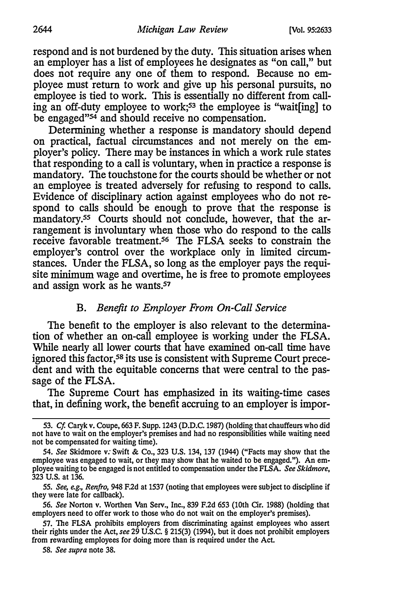respond and is not burdened by the duty. This situation arises when an employer has a list of employees he designates as "on call," but does not require any one of them to respond. Because no employee must return to work and give up his personal pursuits, no employee is tied to work. This is essentially no different from calling an off-duty employee to work;<sup>53</sup> the employee is "wait[ing] to be engaged"<sup>54</sup> and should receive no compensation.

Determining whether a response is mandatory should depend on practical, factual circumstances and not merely on the employer's policy. There may be instances in which a work rule states that responding to a call is voluntary, when in practice a response is mandatory. The touchstone for the courts should be whether or not an employee is treated adversely for refusing to respond to calls. Evidence of disciplinary action against employees who do not respond to calls should be enough to prove that the response is mandatory.<sup>55</sup> Courts should not conclude, however, that the arrangement is involuntary when those who do respond to the calls receive favorable treatment.<sup>56</sup> The FLSA seeks to constrain the employer's control over the workplace only in limited circumstances. Under the FLSA, so long as the employer pays the requisite minimum wage and overtime, he is free to promote employees and assign work as he wants.<sup>57</sup>

# B. Benefit to Employer From On-Call Service

The benefit to the employer is also relevant to the determination of whether an on-call employee is working under the FLSA. While nearly all lower courts that have examined on-call time have ignored this factor,<sup>58</sup> its use is consistent with Supreme Court precedent and with the equitable concerns that were central to the passage of the FLSA.

The Supreme Court has emphasized in its waiting-time cases that, in defining work, the benefit accruing to an employer is impor-

55. See, e.g., Renfro, 948 F.2d at 1537 (noting that employees were subject to discipline if they were late for callback).

56. See Norton v. Worthen Van Serv., Inc., 839 F.2d 653 (10th Cir. 1988) (holding that employers need to offer work to those who do not wait on the employer's premises).

58. See supra note 38.

<sup>53.</sup> Cf. Caryk v. Coupe, 663 F. Supp. 1243 (D.D.C. 1987) (holding that chauffeurs who did not have to wait on the employer's premises and had no responsibilities while waiting need not be compensated for waiting time).

<sup>54.</sup> See Skidmore v: Swift & Co., 323 U.S. 134, 137 (1944) ("Facts may show that the employee was engaged to wait, or they may show that he waited to be engaged."). An employee waiting to be engaged is not entitled to compensation under the FLSA. See Skidmore, 323 U.S. at 136.

<sup>57.</sup> The FLSA prohibits employers from discriminating against employees who assert their rights under the Act, see 29 U.S.C. § 215(3) (1994), but it does not prohibit employers from rewarding employees for doing more than is required under the Act.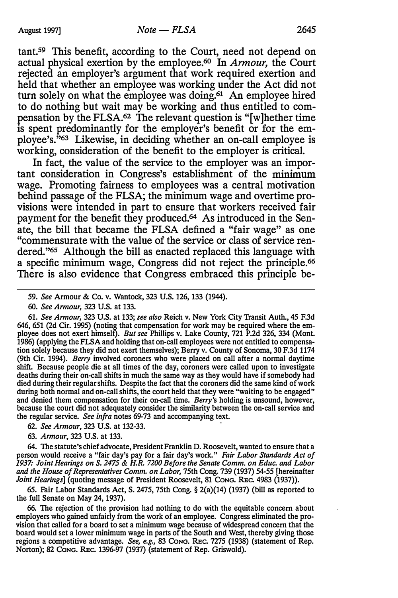tant.59 This benefit, according to the Court, need not depend on actual physical exertion by the employee.60 In Armour, the Court rejected an employer's argument that work required exertion and held that whether an employee was working under the Act did not turn solely on what the employee was doing.<sup>61</sup> An employee hired to do nothing but wait may be working and thus entitled to compensation by the FLSA.62 The relevant question is "[w]hether time is spent predominantly for the employer's benefit or for the employee's. "63 Likewise, in deciding whether an on-call employee is working, consideration of the benefit to the employer is critical.

In fact, the value of the service to the employer was an important consideration in Congress's establishment of the minimum wage. Promoting fairness to employees was a central motivation behind passage of the FLSA; the minimum wage and overtime provisions were intended in part to ensure that workers received fair payment for the benefit they produced.64 As introduced in the Senate, the bill that became the FLSA defined a "fair wage" as one "commensurate with the value of the service or class of service rendered."65 Although the bill as enacted replaced this language with a specific minimum wage, Congress did not reject the principle.66 There is also evidence that Congress embraced this principle be-

61. See Armour, 323 U.S. at 133; see also Reich v. New York City Transit Auth., 45 F.3d 646, 651 (2d Cir. 1995) (noting that compensation for work may be required where the employee does not exert himself). But see Phillips v. Lake County, 721 P.2d 326, 334 (Mont. 1986) (applying the FLSA and holding that on-call employees were not entitled to compensation solely because they did not exert themselves); Berry v. County of Sonoma, 30 F.3d 1114 (9th Cir. 1994). Berry involved coroners who were placed on call after a normal daytime shift. Because people die at all times of the day, coroners were called upon to investigate deaths during their on-call shifts in much the same way as they would have if somebody had died during their regular shifts. Despite the fact that the coroners did the same kind of work during both normal and on-call shifts, the court held that they were "waiting to be engaged" and denied them compensation for their on-call time. Berry's holding is unsound, however, because the court did not adequately consider the similarity between the on-call service and the regular service. See infra notes 69-73 and accompanying text.

62. See Armour, 323 U.S. at 132-33.

63. Armour, 323 U.S. at 133.

64. The statute's chief advocate, President Franklin D. Roosevelt, wanted to ensure that a person would receive a "fair day's pay for a fair day's work." Fair Labor Standards Act of 1937: Joint Hearings on S. 2475 & H.R. 7200 Before the Senate Comm. on Educ. and Labor and the House of Representatives Comm. on Labor, 75th Cong. 739 (1937) 54-55 [hereinafter Joint Hearings] (quoting message of President Roosevelt, 81 Cong. REC. 4983 (1937)).

65. Fair Labor Standards Act, S. 2475, 75th Cong.  $\S$  2(a)(14) (1937) (bill as reported to the full Senate on May 24, 1937).

66. The rejection of the provision had nothing to do with the equitable concern about employers who gained unfairly from the work of an employee. Congress eliminated the provision that called for a board to set a minimum wage because of widespread concern that the board would set a lower minimum wage in parts of the South and West, thereby giving those regions a competitive advantage. See, e.g., 83 ConG. REC. 7275 (1938) (statement of Rep. Norton); 82 CONG. REc. 1396-97 (1931) (statement of Rep. Griswold).

<sup>59.</sup> See Armour & Co. v. Wantock, 323 U.S. 126, 133 (1944).

<sup>60.</sup> See Armour, 323 U.S. at 133.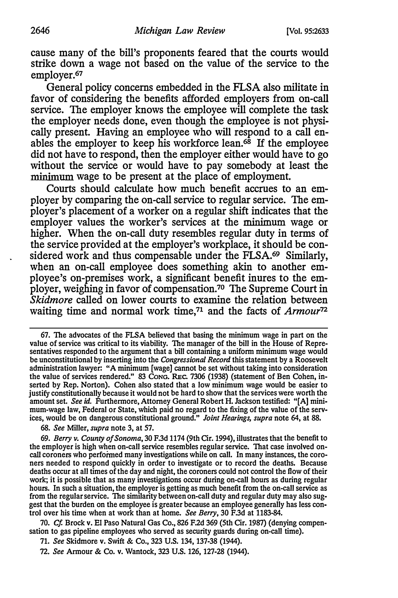cause many of the bill's proponents feared that the courts would strike down a wage not based on the value of the service to the employer.<sup>67</sup>

General policy concerns embedded in the FLSA also militate in favor of considering the benefits afforded employers from on-call service. The employer knows the employee will complete the task the employer needs done, even though the employee is not physically present. Having an employee who will respond to a call enables the employer to keep his workforce lean. $68$  If the employee did not have to respond, then the employer either would have to go without the service or would have to pay somebody at least the minimum wage to be present at the place of employment.

Courts should calculate how much benefit accrues to an employer by comparing the on-call service to regular service. The employer's placement of a worker on a regular shift indicates that the employer values the worker's services at the minimum wage or higher. When the on-call duty resembles regular duty in terms of the service provided at the employer's workplace, it should be considered work and thus compensable under the FLSA.<sup>69</sup> Similarly, when an on-call employee does something akin to another employee's on-premises work, a significant benefit inures to the employer, weighing in favor of compensation.70 The Supreme Court in Skidmore called on lower courts to examine the relation between waiting time and normal work time, $71$  and the facts of Armour<sup>72</sup>

67. The advocates of the FLSA believed that basing the minimum wage in part on the value of service was critical to its viability. The manager of the bill in the House of Representatives responded to the argument that a bill containing a uniform minimum wage would be unconstitutional by inserting into the *Congressional Record* this statement by a Roosevelt administration lawyer: "A minimum [wage] cannot be set without taking into consideration the value of services rendered." 83 CoNG. REc. 7306 {1938) (statement of Ben Cohen, inserted by Rep. Norton). Cohen also stated that a low minimum wage would be easier to justify constitutionally because it would not be hard to show that the services were worth the amount set. See id. Furthermore, Attorney General Robert H. Jackson testified: "[A] minimum-wage law, Federal or State, which paid no regard to the fixing of the value of the services, would be on dangerous constitutional ground." Joint Hearings, supra note 64, at 88.

68. See Miller, supra note 3, at 57.

69. Berry v. County of Sonoma, 30 F.3d 1174 (9th Cir. 1994), illustrates that the benefit to the employer is high when on-call service resembles regular service. That case involved oncall coroners who performed many investigations while on call. In many instances, the coroners needed to respond quickly in order to investigate or to record the deaths. Because deaths occur at all times of the day and night, the coroners could not control the flow of their work; it is possible that as many investigations occur during on-call hours as during regular hours. In such a situation, the employer is getting as much benefit from the on-call service as from the regular service. The similarity between on-call duty and regular duty may also suggest that the burden on the employee is greater because an employee generally has less control over his time when at work than at home. See Berry, 30 F.3d at 1183-84.

70. Cf. Brock v. EI Paso Natural Gas Co., 826 F.2d 369 {5th Cir. 1987) {denying compensation to gas pipeline employees who served as security guards during on-call time).

71. See Skidmore v. Swift & Co., 323 U.S. 134, 137-38 (1944).

72. See Armour & Co. v. Wantock, 323 U.S. 126, 127-28 (1944).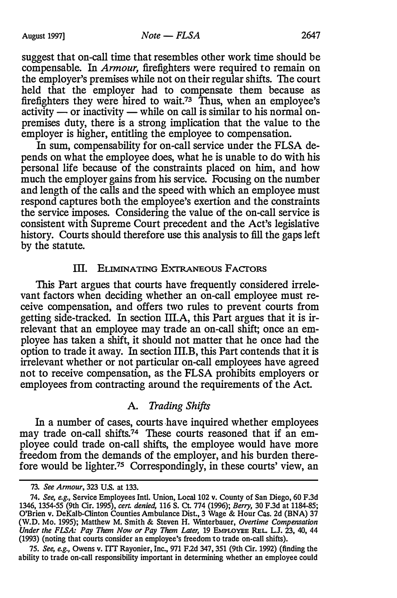suggest that on-call time that resembles other work time should be compensable. In Armour, firefighters were required to remain on the employer's premises while not on their regular shifts. The court held that the employer had to compensate them because as firefighters they were hired to wait.73 Thus, when an employee's  $\alpha$ activity — or inactivity — while on call is similar to his normal onpremises duty, there is a strong implication that the value to the employer is higher, entitling the employee to compensation.

In sum, compensability for on-call service under the FLSA depends on what the employee does, what he is unable to do with his personal life because of the constraints placed on him, and how much the employer gains from his service. Focusing on the number and length of the calls and the speed with which an employee must respond captures both the employee's exertion and the constraints the service imposes. Considering the value of the on-call service is consistent with Supreme Court precedent and the Act's legislative history. Courts should therefore use this analysis to fill the gaps left by the statute.

#### III. ELIMINATING EXTRANEOUS FACTORS

This Part argues that courts have frequently considered irrelevant factors when deciding whether an on-call employee must receive compensation, and offers two rules to prevent courts from getting side-tracked. In section III.A, this Part argues that it is irrelevant that an employee may trade an on-call shift; once an employee has taken a shift, it should not matter that he once had the option to trade it away. In section III.B, this Part contends that it is irrelevant whether or not particular on-call employees have agreed not to receive compensation, as the FLSA prohibits employers or employees from contracting around the requirements of the Act.

# A. Trading Shifts

In a number of cases, courts have inquired whether employees may trade on-call shifts.<sup>74</sup> These courts reasoned that if an employee could trade on-call shifts, the employee would have more freedom from the demands of the employer, and his burden therefore would be lighter.75 Correspondingly, in these courts' view, an

<sup>73.</sup> See Armour, 323 U.S. at 133.

<sup>74.</sup> See, e.g., Service Employees Intl. Union, Local 102 v. County of San Diego, 60 F.3d 1346, 1354-55 (9th Cir. 1995), *cert. denied,* 116 S. Ct. 774 (1996); *Berry,* 30 F.3d at 1184-85; O'Brien v. DeKalb-Clinton Counties Ambulance Dist, 3 Wage & Hour Cas. 2d (BNA) 37 (W.D. Mo. 1995); Matthew M. Smith & Steven H. Winterbauer, Overtime Compensation Under the FLSA: Pay Them Now or Pay Them Later, 19 EMPLOYEE REL. L.J. 23, 40, 44 (1993) (noting that courts consider an employee's freedom to trade on-call shifts).

<sup>75.</sup> See, e.g., Owens v. TIT Rayonier, Inc., 971 F.2d 347, 351 (9th Cir. 1992) (finding the ability to trade on-call responsibility important in determining whether an employee could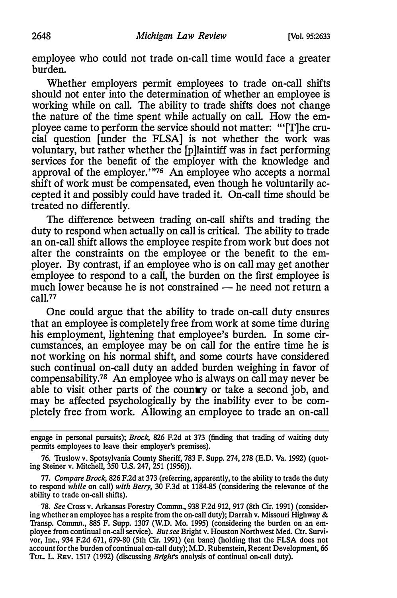employee who could not trade on-call time would face a greater burden.

Whether employers permit employees to trade on-call shifts should not enter into the determination of whether an employee is working while on call. The ability to trade shifts does not change the nature of the time spent while actually on call. How the employee came to perform the service should not matter: "'[T]he crucial question [under the FLSA] is not whether the work was voluntary, but rather whether the [p]laintiff was in fact performing services for the benefit of the employer with the knowledge and approval of the employer."76 An employee who accepts a normal shift of work must be compensated, even though he voluntarily accepted it and possibly could have traded it. On-call time should be treated no differently.

The difference between trading on-call shifts and trading the duty to respond when actually on call is critical. The ability to trade an on-call shift allows the employee respite from work but does not alter the constraints on the employee or the benefit to the employer. By contrast, if an employee who is on call may get another employee to respond to a call, the burden on the first employee is much lower because he is not constrained - he need not return a call.77

One could argue that the ability to trade on-call duty ensures that an employee is completely free from work at some time during his employment, lightening that employee's burden. In some circumstances, an employee may be on call for the entire time he is not working on his normal shift, and some courts have considered such continual on-call duty an added burden weighing in favor of compensability.78 An employee who is always on call may never be able to visit other parts of the country or take a second job, and may be affected psychologically by the inability ever to be completely free from work. Allowing an employee to trade an on-call

engage in personal pursuits); Brock, 826 F.2d at 373 {finding that trading of waiting duty permits employees to leave their employer's premises).

<sup>76.</sup> Truslow v. Spotsylvania County Sheriff, 783 F. Supp. 274, 278 (E.D. Va. 1992) (quoting Steiner v. Mitchell, 350 U.S. 247, 251 {1956)).

<sup>77.</sup> Compare Brock, 826 F.2d at 373 (referring, apparently, to the ability to trade the duty to respond while on call) with Berry, 30 F.3d at 1184-85 (considering the relevance of the ability to trade on-call shifts).

<sup>78.</sup> See Cross v. Arkansas Forestry Commn., 938 F.2d 912, 917 (8th Cir. 1991) (considering whether an employee has a respite from the on-call duty); Darrah v. Missouri Highway & Transp. Commn., 885 F. Supp. 1307 (W.D. Mo. 1995) (considering the burden on an employee from continual on-call service). But see Bright v. Houston Northwest Med. Ctr. Survivor, Inc., 934 F.2d 671, 679-80 (5th Cir. 1991) (en bane) {holding that the FLSA does not account for the burden of continual on-call duty); M.D. Rubenstein, Recent Development, 66 TUL. L. REV. 1517 (1992) (discussing *Bright's* analysis of continual on-call duty).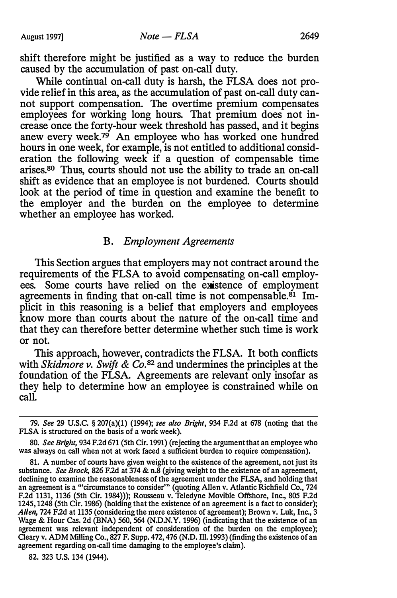shift therefore might be justified as a way to reduce the burden caused by the accumulation of past on-call duty.

While continual on-call duty is harsh, the FLSA does not provide relief in this area, as the accumulation of past on-call duty cannot support compensation. The overtime premium compensates employees for working long hours. That premium does not increase once the forty-hour week threshold has passed, and it begins anew every week. $79$  An employee who has worked one hundred hours in one week, for example, is not entitled to additional consideration the following week if a question of compensable time arises.80 Thus, courts should not use the ability to trade an on-call shift as evidence that an employee is not burdened. Courts should look at the period of time in question and examine the benefit to the employer and the burden on the employee to determine whether an employee has worked.

### B. Employment Agreements

This Section argues that employers may not contract around the requirements of the FLSA to avoid compensating on-call employees. Some courts have relied on the existence of employment agreements in finding that on-call time is not compensable. ${}^{81}$  Implicit in this reasoning is a belief that employers and employees know more than courts about the nature of the on-call time and that they can therefore better determine whether such time is work or not.

This approach, however, contradicts the FLSA. It both conflicts with Skidmore v. Swift & Co.<sup>82</sup> and undermines the principles at the foundation of the FLSA. Agreements are relevant only insofar as they help to determine how an employee is constrained while on call.

82. 323 U.S. 134 (1944).

<sup>79.</sup> See 29 U.S.C. § 207(a)(l) (1994); see also Bright, 934 F.2d at 678 (noting that the FLSA is structured on the basis of a work week).

<sup>80.</sup> See Bright, 934 F.2d 671 (5th Cir. 1991) (rejecting the argument that an employee who was always on call when not at work faced a sufficient burden to require compensation).

<sup>81.</sup> A number of courts have given weight to the existence of the agreement, not just its substance. See Brock, 826 F.2d at 374 & n.8 (giving weight to the existence of an agreement, declining to examine the reasonableness of the agreement under the FLSA, and holding that an agreement is a "'circumstance to consider'" (quoting Allen v. Atlantic Richfield Co., 724 F.2d 1131, 1136 (5th Cir. 1984))); Rousseau v. Teledyne Movible Offshore, Inc., 805 F.2d 1245, 1248 (5th Cir. 1986) (holding that the existence of an agreement is a fact to consider); Allen, 724 F.2d at 1135 (considering the mere existence of agreement); Brown v. Luk, Inc., 3 Wage & Hour Cas. 2d (BNA) 560, 564 (N.D.N.Y. 1996) (indicating that the existence of an agreement was relevant independent of consideration of the burden on the employee); Cleary v. ADM Milling Co., 827 F. Supp. 472, 476 (N.D. Ill. 1993) (finding the existence of an agreement regarding on-call time damaging to the employee's claim).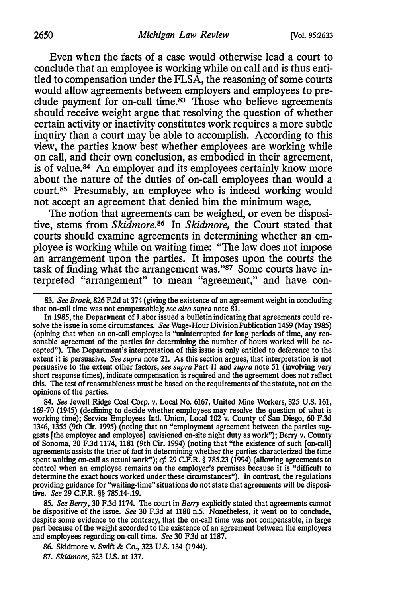Even when the facts of a case would otherwise lead a court to conclude that an employee is working while on call and is thus entitled to compensation under the FLSA, the reasoning of some courts would allow agreements between employers and employees to preclude payment for on-call time.<sup>83</sup> Those who believe agreements should receive weight argue that resolving the question of whether certain activity or inactivity constitutes work requires a more subtle inquiry than a court may be able to accomplish. According to this view, the parties know best whether employees are working while on call, and their own conclusion, as embodied in their agreement, is of value.<sup>84</sup> An employer and its employees certainly know more about the nature of the duties of on-call employees than would a court.85 Presumably, an employee who is indeed working would not accept an agreement that denied him the minimum wage.

The notion that agreements can be weighed, or even be dispositive, stems from *Skidmore*.<sup>86</sup> In *Skidmore*, the Court stated that courts should examine agreements in determining whether an employee is working while on waiting time: "The law does not impose an arrangement upon the parties. It imposes upon the courts the task of finding what the arrangement was." $87$  Some courts have interpreted "arrangement" to mean "agreement," and have con-

83. See Brock, 826 F.2d at 374 (giving the existence of an agreement weight in concluding that on-call time was not compensable}; see also supra note 81.

In 1985, the Department of Labor issued a bulletin indicating that agreements could resolve the issue in some circumstances. See Wage-Hour Division Publication 1459 (May 1985) (opining that when an on-call employee is "uninterrupted for long periods of time, any reasonable agreement of the parties for determining the number of hours worked will be accepted"}. The Department's interpretation of this issue is only entitled to deference to the extent it is persuasive. See supra note 21. As this section argues, that interpretation is not persuasive to the extent other factors, see supra Part II and supra note 51 (involving very short response times), indicate compensation is required and the agreement does not reflect this. The test of reasonableness must be based on the requirements of the statute, not on the opinions of the parties.

84. See Jewell Ridge Coal Corp. v. Local No. 6167, United Mine Workers, 325 U.S. 161, 169-70 (1945) (declining to decide whether employees may resolve the question of what is working time); Service Employees Intl. Union, Local 102 v. County of San Diego, 60 F.3d 1346, 1355 {9th Cir. 1995) (noting that an "employment agreement between the parties suggests [the employer and employee] envisioned on-site night duty as work"); Berry v. County of Sonoma, 30 F.3d 1174, 1181 {9th Cir. 1994) (noting that "the existence of such [on-call] agreements assists the trier of fact in determining whether the parties characterized the time spent waiting on-call as actual work");  $cf. 29 \text{ C.F.R.}$  § 785.23 (1994) (allowing agreements to control when an employee remains on the employer's premises because it is "difficult to determine the exact hours worked under these circumstances"). In contrast, the regulations providing guidance for "waiting-time" situations do not state that agreements will be dispositive. See 29 C.F.R. §§ 785.14-.19.

85. See Berry, 30 F.3d 1174. The court in Berry explicitly stated that agreements cannot be dispositive of the issue. See 30 F.3d at 1180 n.5. Nonetheless, it went on to conclude, despite some evidence to the contrary, that the on-call time was not compensable, in large part because of the weight accorded to the existence of an agreement between the employers and employees regarding on-call time. See 30 F.3d at 1187.

86. Skidmore v. Swift & Co., 323 U.S. 134 (1944). 87. Skidmore, 323 U.S. at 137.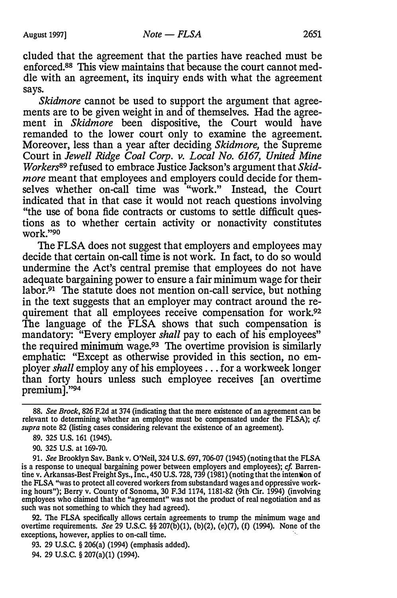eluded that the agreement that the parties have reached must be enforced.88 This view maintains that because the court cannot meddle with an agreement, its inquiry ends with what the agreement says.

Skidmore cannot be used to support the argument that agreements are to be given weight in and of themselves. Had the agreement in Skidmore been dispositive, the Court would have remanded to the lower court only to examine the agreement. Moreover, less than a year after deciding Skidmore, the Supreme Court in Jewell Ridge Coal Corp. v. Local No. 6167, United Mine Workers<sup>89</sup> refused to embrace Justice Jackson's argument that Skidmore meant that employees and employers could decide for themselves whether on-call time was "work." Instead, the Court indicated that in that case it would not reach questions involving "the use of bona fide contracts or customs to settle difficult questions as to whether certain activity or nonactivity constitutes work."90

The FLSA does not suggest that employers and employees may decide that certain on-call time is not work. In fact, to do so would undermine the Act's central premise that employees do not have adequate bargaining power to ensure a fair minimum wage for their labor.<sup>91</sup> The statute does not mention on-call service, but nothing in the text suggests that an employer may contract around the requirement that all employees receive compensation for work.<sup>92</sup> The language of the FLSA shows that such compensation is mandatory: "Every employer shall pay to each of his employees" the required minimum wage.93 The overtime provision is similarly emphatic: "Except as otherwise provided in this section, no employer shall employ any of his employees ... for a workweek longer than forty hours unless such employee receives [an overtime premium]. "94

90. 325 U.S. at 169-70.

91. See Brooklyn Sav. Bank v. O'Neil, 324 U.S. 697, 706-07 (1945) (noting that the FLSA is a response to unequal bargaining power between employers and employees); cf. Barrentine v. Arkansas-Best Freight Sys., Inc., 450 U.S. 728, 739 (1981) (noting that the intention of the FLSA "was to protect all covered workers from substandard wages and oppressive working hours"); Berry v. County of Sonoma, 30 F.3d 1174, 1181-82 (9th Cir. 1994) (involving employees who claimed that the "agreement" was not the product of real negotiation and as such was not something to which they had agreed).

92. The FLSA specifically allows certain agreements to trump the minimum wage and overtime requirements. *See* 29 U.S.C.  $\S$  207(b)(1), (b)(2), (e)(7), (f) (1994). None of the exceptions, however, applies to on-call time.

93. 29 U.S.C. § 206(a) (1994) (emphasis added). 94. 29 U.S.C. § 207(a)(1) {1994).

<sup>88.</sup> See Brock, 826 F.2d at 374 (indicating that the mere existence of an agreement can be relevant to detennining whether an employee must be compensated under the FLSA); cf. supra note 82 (listing cases considering relevant the existence of an agreement).

<sup>89. 325</sup> U.S. 161 (1945).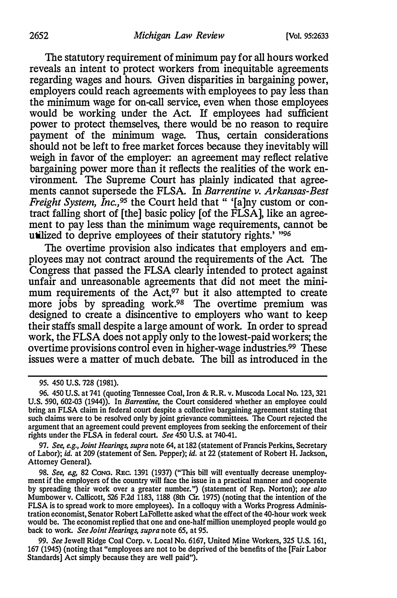The statutory requirement of minimum pay for all hours worked reveals an intent to protect workers from inequitable agreements regarding wages and hours. Given disparities in bargaining power, employers could reach agreements with employees to pay less than the minimum wage for on-call service, even when those employees would be working under the Act. If employees had sufficient power to protect themselves, there would be no reason to require payment of the minimum wage. Thus, certain considerations should not be left to free market forces because they inevitably will weigh in favor of the employer: an agreement may reflect relative bargaining power more than it reflects the realities of the work environment. The Supreme Court has plainly indicated that agreements cannot supersede the FLSA. In Barrentine v. Arkansas-Best *Freight System, Inc.*,<sup>95</sup> the Court held that " '[a]ny custom or contract falling short of [the] basic policy [of the FLSA], like an agreement to pay less than the minimum wage requirements, cannot be utilized to deprive employees of their statutory rights.' "96

The overtime provision also indicates that employers and employees may not contract around the requirements of the Act. The Congress that passed the FLSA clearly intended to protect against unfair and unreasonable agreements that did not meet the minimum requirements of the Act,<sup>97</sup> but it also attempted to create more jobs by spreading work.<sup>98</sup> The overtime premium was designed to create a disincentive to employers who want to keep their staffs small despite a large amount of work. In order to spread work, the FLSA does not apply only to the lowest-paid workers; the overtime provisions control even in higher-wage industries.99 These issues were a matter of much debate. The bill as introduced in the

97. See, e.g., Joint Hearings, supra note 64, at 182 (statement of Francis Perkins, Secretary of Labor); id. at 209 (statement of Sen. Pepper); id. at 22 (statement of Robert H. Jackson, Attorney General}.

99. See Jewell Ridge Coal Corp. v. Local No. 6167, United Mine Workers, 325 U.S. 161, 167 (1945) (noting that "employees are not to be deprived of the benefits of the [Fair Labor Standards) Act simply because they are well paid").

<sup>95. 450</sup> U.S. 728 (1981).

<sup>96. 450</sup> U.S. at 741 (quoting Tennessee Coal, Iron & R.R. v. Muscoda Local No. 123, 321 U.S. 590, 602-03 (1944)). In Barrentine, the Court considered whether an employee could bring an FLSA claim in federal court despite a collective bargaining agreement stating that such claims were to be resolved only by joint grievance committees. The Court rejected the argument that an agreement could prevent employees from seeking the enforcement of their rights under the FLSA in federal court. See 450 U.S. at 740-41.

<sup>98.</sup> See, e.g, 82 Cong. REC. 1391 (1937) ("This bill will eventually decrease unemployment if the employers of the country will face the issue in a practical manner and cooperate by spreading their work over a greater number.") (statement of Rep. Norton); see also Mumbower v. Callicott, 526 F.2d 1183, 1188 (8th Cir. 1975) (noting that the intention of the FLSA is to spread work to more employees). In a colloquy with a Works Progress Administration economist, Senator Robert LaFollette asked what the effect of the 40-hour work week would be. The economist replied that one and one-half million unemployed people would go back to work. See Joint Hearings, supra note 65, at 95.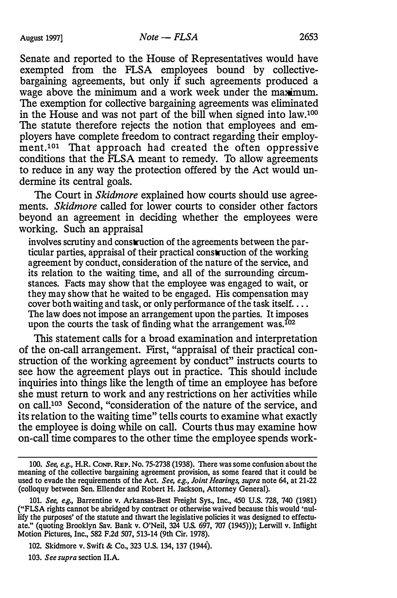Senate and reported to the House of Representatives would have exempted from the FLSA employees bound by collectivebargaining agreements, but only if such agreements produced a wage above the minimum and a work week under the maximum. The exemption for collective bargaining agreements was eliminated in the House and was not part of the bill when signed into law.100 The statute therefore rejects the notion that employees and employers have complete freedom to contract regarding their employment.<sup>101</sup> That approach had created the often oppressive conditions that the FLSA meant to remedy. To allow agreements to reduce in any way the protection offered by the Act would undermine its central goals.

The Court in *Skidmore* explained how courts should use agreements. Skidmore called for lower courts to consider other factors beyond an agreement in deciding whether the employees were working. Such an appraisal

involves scrutiny and construction of the agreements between the particular parties, appraisal of their practical construction of the working agreement by conduct, consideration of the nature of the service, and its relation to the waiting time, and all of the surrounding circumstances. Facts may show that the employee was engaged to wait, or they may show that he waited to be engaged. His compensation may cover both waiting and task, or only performance of the task itself... The law does not impose an arrangement upon the parties. It imposes upon the courts the task of finding what the arrangement was.<sup>102</sup>

This statement calls for a broad examination and interpretation of the on-call arrangement. First, "appraisal of their practical construction of the working agreement by conduct" instructs courts to see how the agreement plays out in practice. This should include inquiries into things like the length of time an employee has before she must return to work and any restrictions on her activities while on call.103 Second, "consideration of the nature of the service, and its relation to the waiting time" tells courts to examine what exactly the employee is doing while on call. Courts thus may examine how on-call time compares to the other time the employee spends work-

103. See supra section II.A.

<sup>100.</sup> See, e.g., H.R. CoNF. REP. No. 75-2738 (1938). There was some confusion about the meaning of the collective bargaining agreement provision, as some feared that it could be used to evade the requirements of the Act. See, e.g., Joint Hearings, supra note 64, at 21-22 (colloquy between Sen. Ellender and Robert H. Jackson, Attorney General).

<sup>101.</sup> See, e.g., Barrentine v. Arkansas-Best Freight Sys., Inc., 450 U.S. 728, 740 (1981) ("FLSA rights cannot be abridged by contract or otherwise waived because this would 'nullify the purposes' of the statute and thwart the legislative policies it was designed to effectuate." (quoting Brooklyn Sav. Bank v. O'Neil, 324 U.S. 697, 707 (1945))); Lerwill v. Inflight Motion Pictures, Inc., 582 F.2d 507, 513-14 (9th Cir. 1978).

<sup>102.</sup> Skidmore v. Swift & Co., 323 U.S. 134, 137 (1944).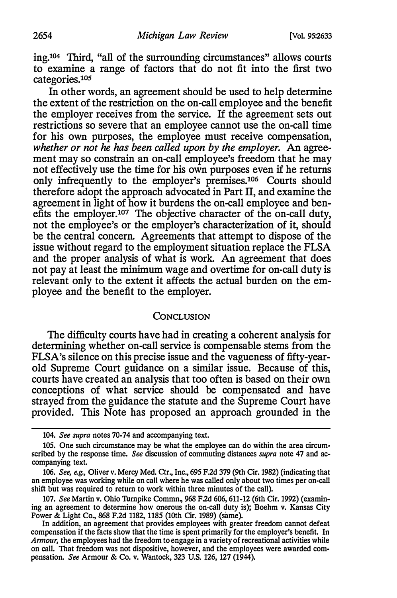ing.104 Third, "all of the surrounding circumstances" allows courts to examine a range of factors that do not fit into the first two  $categories.<sup>105</sup>$ 

In other words, an agreement should be used to help determine the extent of the restriction on the on-call employee and the benefit the employer receives from the service. If the agreement sets out restrictions so severe that an employee cannot use the on-call time for his own purposes, the employee must receive compensation, whether or not he has been called upon by the employer. An agreement may so constrain an on-call employee's freedom that he may not effectively use the time for his own purposes even if he returns only infrequently to the employer's premises.106 Courts should therefore adopt the approach advocated in Part II, and examine the agreement in light of how it burdens the on-call employee and benefits the employer.107 The objective character of the on-call duty, not the employee's or the employer's characterization of it, should be the central concern. Agreements that attempt to dispose of the issue without regard to the employment situation replace the FLSA and the proper analysis of what is work. An agreement that does not pay at least the minimum wage and overtime for on-call duty is relevant only to the extent it affects the actual burden on the employee and the benefit to the employer.

#### **CONCLUSION**

The difficulty courts have had in creating a coherent analysis for determining whether on-call service is compensable stems from the FLSA's silence on this precise issue and the vagueness of fifty-yearold Supreme Court guidance on a similar issue. Because of this, courts have created an analysis that too often is based on their own conceptions of what service should be compensated and have strayed from the guidance the statute and the Supreme Court have provided. This Note has proposed an approach grounded in the

<sup>104.</sup> See supra notes 70-74 and accompanying text.

<sup>105.</sup> One such circumstance may be what the employee can do within the area circumscribed by the response time. See discussion of commuting distances supra note 47 and accompanying text.

<sup>106.</sup> See, e.g., Oliver v. Mercy Med. Ctr., Inc., 695 F.2d 379 (9th Cir. 1982) (indicating that an employee was working while on call where he was called only about two times per on-call shift but was required to return to work within three minutes of the call).

<sup>107.</sup> See Martin v. Ohio Turnpike Commn., 968 F.2d 606, 611-12 (6th Cir. 1992) (examining an agreement to determine how onerous the on-call duty is); Boehm v. Kansas City Power & Light Co., 868 F.2d 1182, 1185 (10th Cir. 1989) (same).

In addition, an agreement that provides employees with greater freedom cannot defeat compensation if the facts show that the time is spent primarily for the employer's benefit. In Armour, the employees had the freedom to engage in a variety of recreational activities while on call. That freedom was not dispositive, however, and the employees were awarded compensation. See Armour & Co. v. Wantock, 323 U.S. 126, 127 (1944).